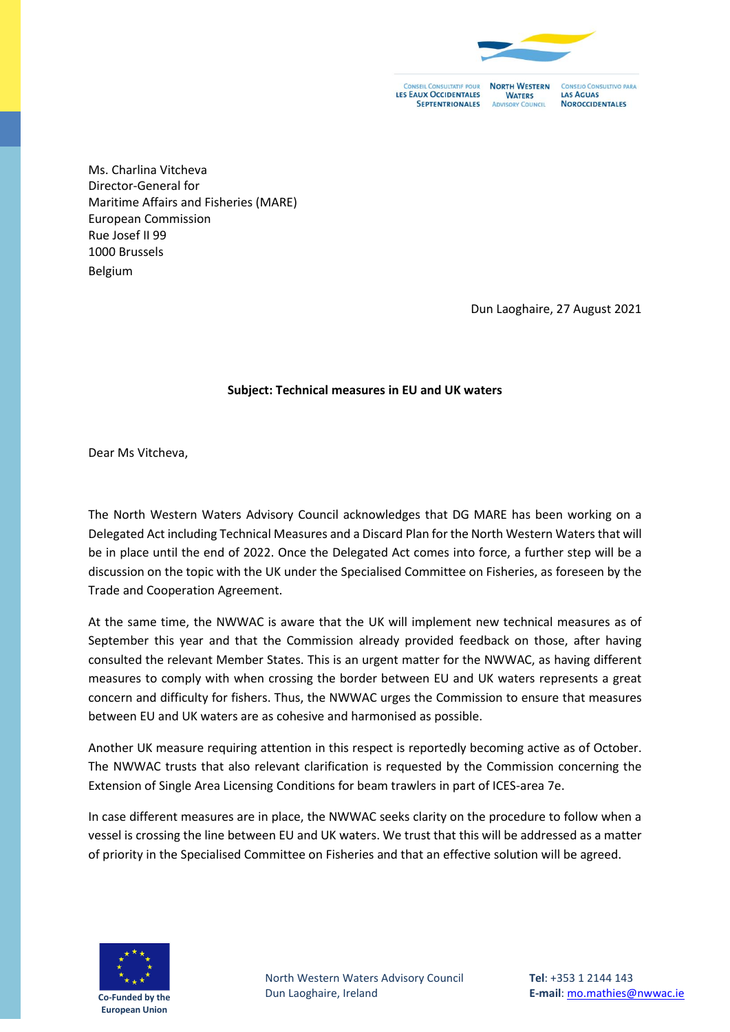

**LES EAUX OCCIDENTALES SEPTENTRIONALES** 

**NORTH WESTERN WATERS ADVISORY COUNCIL** 

NSEJO CONSULTIVO PARA LAS AGUAS **NOROCCIDENTALES** 

Ms. Charlina Vitcheva Director-General for Maritime Affairs and Fisheries (MARE) European Commission Rue Josef II 99 1000 Brussels Belgium

Dun Laoghaire, 27 August 2021

## **Subject: Technical measures in EU and UK waters**

Dear Ms Vitcheva,

The North Western Waters Advisory Council acknowledges that DG MARE has been working on a Delegated Act including Technical Measures and a Discard Plan for the North Western Watersthat will be in place until the end of 2022. Once the Delegated Act comes into force, a further step will be a discussion on the topic with the UK under the Specialised Committee on Fisheries, as foreseen by the Trade and Cooperation Agreement.

At the same time, the NWWAC is aware that the UK will implement new technical measures as of September this year and that the Commission already provided feedback on those, after having consulted the relevant Member States. This is an urgent matter for the NWWAC, as having different measures to comply with when crossing the border between EU and UK waters represents a great concern and difficulty for fishers. Thus, the NWWAC urges the Commission to ensure that measures between EU and UK waters are as cohesive and harmonised as possible.

Another UK measure requiring attention in this respect is reportedly becoming active as of October. The NWWAC trusts that also relevant clarification is requested by the Commission concerning the Extension of Single Area Licensing Conditions for beam trawlers in part of ICES-area 7e.

In case different measures are in place, the NWWAC seeks clarity on the procedure to follow when a vessel is crossing the line between EU and UK waters. We trust that this will be addressed as a matter of priority in the Specialised Committee on Fisheries and that an effective solution will be agreed.



North Western Waters Advisory Council Dun Laoghaire, Ireland

**Tel**: +353 1 2144 143 **E-mail**: [mo.mathies@nwwac.ie](mailto:mo.mathies@nwwac.ie)